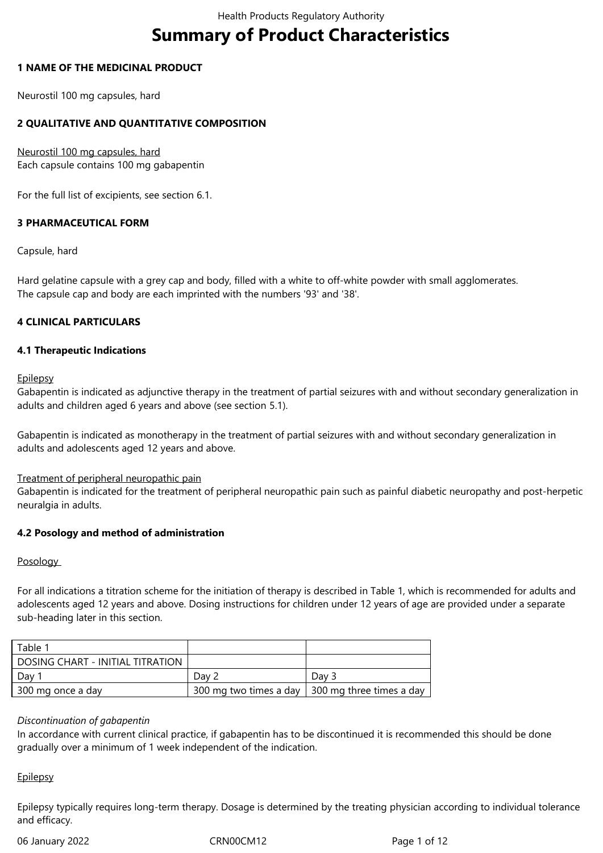# **Summary of Product Characteristics**

## **1 NAME OF THE MEDICINAL PRODUCT**

Neurostil 100 mg capsules, hard

# **2 QUALITATIVE AND QUANTITATIVE COMPOSITION**

Neurostil 100 mg capsules, hard Each capsule contains 100 mg gabapentin

For the full list of excipients, see section 6.1.

## **3 PHARMACEUTICAL FORM**

Capsule, hard

Hard gelatine capsule with a grey cap and body, filled with a white to off-white powder with small agglomerates. The capsule cap and body are each imprinted with the numbers '93' and '38'.

## **4 CLINICAL PARTICULARS**

## **4.1 Therapeutic Indications**

**Epilepsy** 

Gabapentin is indicated as adjunctive therapy in the treatment of partial seizures with and without secondary generalization in adults and children aged 6 years and above (see section 5.1).

Gabapentin is indicated as monotherapy in the treatment of partial seizures with and without secondary generalization in adults and adolescents aged 12 years and above.

Treatment of peripheral neuropathic pain

Gabapentin is indicated for the treatment of peripheral neuropathic pain such as painful diabetic neuropathy and post-herpetic neuralgia in adults.

## **4.2 Posology and method of administration**

## Posology

For all indications a titration scheme for the initiation of therapy is described in Table 1, which is recommended for adults and adolescents aged 12 years and above. Dosing instructions for children under 12 years of age are provided under a separate sub-heading later in this section.

| Table 1                          |       |                                                   |
|----------------------------------|-------|---------------------------------------------------|
| DOSING CHART - INITIAL TITRATION |       |                                                   |
| Dav i                            | Dav 2 | Day 3                                             |
| 300 mg once a day                |       | 300 mg two times a day 1 300 mg three times a day |

## *Discontinuation of gabapentin*

In accordance with current clinical practice, if gabapentin has to be discontinued it is recommended this should be done gradually over a minimum of 1 week independent of the indication.

## **Epilepsy**

Epilepsy typically requires long-term therapy. Dosage is determined by the treating physician according to individual tolerance and efficacy.

06 January 2022 CRN00CM12 CRN00CM12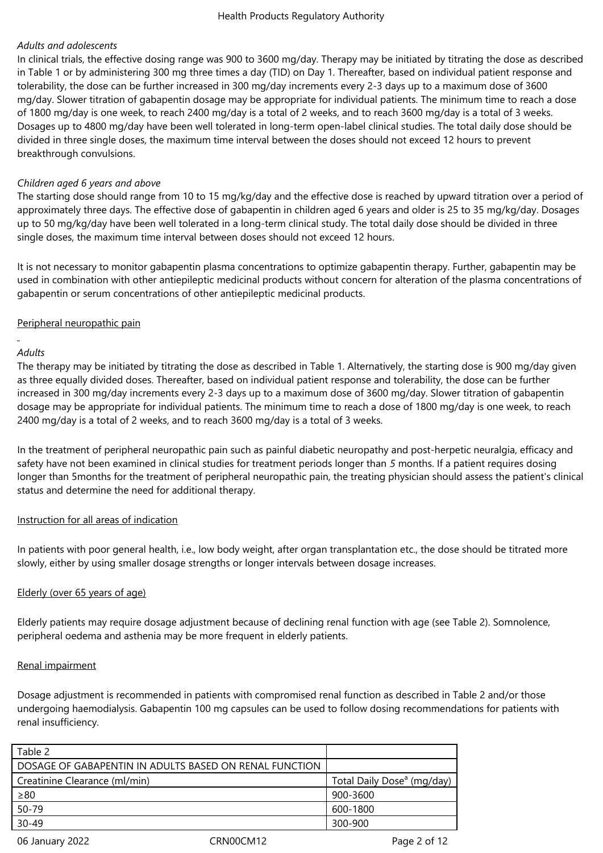# *Adults and adolescents*

In clinical trials, the effective dosing range was 900 to 3600 mg/day. Therapy may be initiated by titrating the dose as described in Table 1 or by administering 300 mg three times a day (TID) on Day 1. Thereafter, based on individual patient response and tolerability, the dose can be further increased in 300 mg/day increments every 2-3 days up to a maximum dose of 3600 mg/day. Slower titration of gabapentin dosage may be appropriate for individual patients. The minimum time to reach a dose of 1800 mg/day is one week, to reach 2400 mg/day is a total of 2 weeks, and to reach 3600 mg/day is a total of 3 weeks. Dosages up to 4800 mg/day have been well tolerated in long-term open-label clinical studies. The total daily dose should be divided in three single doses, the maximum time interval between the doses should not exceed 12 hours to prevent breakthrough convulsions.

## *Children aged 6 years and above*

The starting dose should range from 10 to 15 mg/kg/day and the effective dose is reached by upward titration over a period of approximately three days. The effective dose of gabapentin in children aged 6 years and older is 25 to 35 mg/kg/day. Dosages up to 50 mg/kg/day have been well tolerated in a long-term clinical study. The total daily dose should be divided in three single doses, the maximum time interval between doses should not exceed 12 hours.

It is not necessary to monitor gabapentin plasma concentrations to optimize gabapentin therapy. Further, gabapentin may be used in combination with other antiepileptic medicinal products without concern for alteration of the plasma concentrations of gabapentin or serum concentrations of other antiepileptic medicinal products.

## Peripheral neuropathic pain

## *Adults*

The therapy may be initiated by titrating the dose as described in Table 1. Alternatively, the starting dose is 900 mg/day given as three equally divided doses. Thereafter, based on individual patient response and tolerability, the dose can be further increased in 300 mg/day increments every 2-3 days up to a maximum dose of 3600 mg/day. Slower titration of gabapentin dosage may be appropriate for individual patients. The minimum time to reach a dose of 1800 mg/day is one week, to reach 2400 mg/day is a total of 2 weeks, and to reach 3600 mg/day is a total of 3 weeks.

In the treatment of peripheral neuropathic pain such as painful diabetic neuropathy and post-herpetic neuralgia, efficacy and safety have not been examined in clinical studies for treatment periods longer than 5 months. If a patient requires dosing longer than 5months for the treatment of peripheral neuropathic pain, the treating physician should assess the patient's clinical status and determine the need for additional therapy.

## Instruction for all areas of indication

In patients with poor general health, i.e., low body weight, after organ transplantation etc., the dose should be titrated more slowly, either by using smaller dosage strengths or longer intervals between dosage increases.

# Elderly (over 65 years of age)

Elderly patients may require dosage adjustment because of declining renal function with age (see Table 2). Somnolence, peripheral oedema and asthenia may be more frequent in elderly patients.

## Renal impairment

Dosage adjustment is recommended in patients with compromised renal function as described in Table 2 and/or those undergoing haemodialysis. Gabapentin 100 mg capsules can be used to follow dosing recommendations for patients with renal insufficiency.

| Table 2                                                |           |                                        |
|--------------------------------------------------------|-----------|----------------------------------------|
| DOSAGE OF GABAPENTIN IN ADULTS BASED ON RENAL FUNCTION |           |                                        |
| Creatinine Clearance (ml/min)                          |           | Total Daily Dose <sup>a</sup> (mg/day) |
| $\geq 80$                                              |           | 900-3600                               |
| 50-79                                                  |           | 600-1800                               |
| $30 - 49$                                              |           | 300-900                                |
| 06 January 2022                                        | CRN00CM12 | Page 2 of 12                           |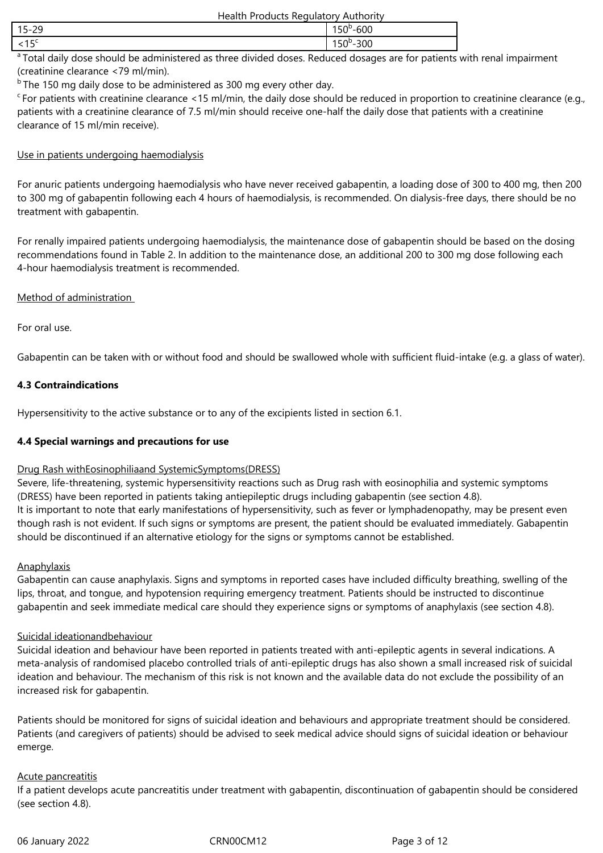| Health Products Regulatory Authority |
|--------------------------------------|
|--------------------------------------|

| $\sim$<br>. .<br>$15 -$<br>. .<br>-- |  |
|--------------------------------------|--|
| . J                                  |  |

<sup>a</sup> Total daily dose should be administered as three divided doses. Reduced dosages are for patients with renal impairment (creatinine clearance <79 ml/min).

 $b$ The 150 mg daily dose to be administered as 300 mg every other day.

 $c$  For patients with creatinine clearance <15 ml/min, the daily dose should be reduced in proportion to creatinine clearance (e.g., patients with a creatinine clearance of 7.5 ml/min should receive one-half the daily dose that patients with a creatinine clearance of 15 ml/min receive).

# Use in patients undergoing haemodialysis

For anuric patients undergoing haemodialysis who have never received gabapentin, a loading dose of 300 to 400 mg, then 200 to 300 mg of gabapentin following each 4 hours of haemodialysis, is recommended. On dialysis-free days, there should be no treatment with gabapentin.

For renally impaired patients undergoing haemodialysis, the maintenance dose of gabapentin should be based on the dosing recommendations found in Table 2. In addition to the maintenance dose, an additional 200 to 300 mg dose following each 4-hour haemodialysis treatment is recommended.

# Method of administration

For oral use.

Gabapentin can be taken with or without food and should be swallowed whole with sufficient fluid-intake (e.g. a glass of water).

# **4.3 Contraindications**

Hypersensitivity to the active substance or to any of the excipients listed in section 6.1.

# **4.4 Special warnings and precautions for use**

# Drug Rash withEosinophiliaand SystemicSymptoms(DRESS)

Severe, life-threatening, systemic hypersensitivity reactions such as Drug rash with eosinophilia and systemic symptoms (DRESS) have been reported in patients taking antiepileptic drugs including gabapentin (see section 4.8). It is important to note that early manifestations of hypersensitivity, such as fever or lymphadenopathy, may be present even though rash is not evident. If such signs or symptoms are present, the patient should be evaluated immediately. Gabapentin should be discontinued if an alternative etiology for the signs or symptoms cannot be established.

# **Anaphylaxis**

Gabapentin can cause anaphylaxis. Signs and symptoms in reported cases have included difficulty breathing, swelling of the lips, throat, and tongue, and hypotension requiring emergency treatment. Patients should be instructed to discontinue gabapentin and seek immediate medical care should they experience signs or symptoms of anaphylaxis (see section 4.8).

# Suicidal ideationandbehaviour

Suicidal ideation and behaviour have been reported in patients treated with anti-epileptic agents in several indications. A meta-analysis of randomised placebo controlled trials of anti-epileptic drugs has also shown a small increased risk of suicidal ideation and behaviour. The mechanism of this risk is not known and the available data do not exclude the possibility of an increased risk for gabapentin.

Patients should be monitored for signs of suicidal ideation and behaviours and appropriate treatment should be considered. Patients (and caregivers of patients) should be advised to seek medical advice should signs of suicidal ideation or behaviour emerge.

# Acute pancreatitis

If a patient develops acute pancreatitis under treatment with gabapentin, discontinuation of gabapentin should be considered (see section 4.8).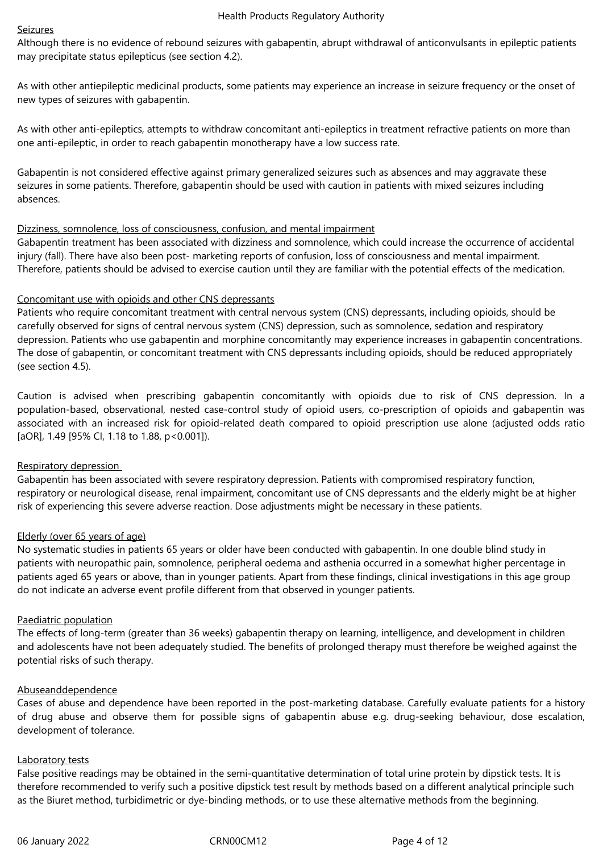# Seizures

Although there is no evidence of rebound seizures with gabapentin, abrupt withdrawal of anticonvulsants in epileptic patients may precipitate status epilepticus (see section 4.2).

As with other antiepileptic medicinal products, some patients may experience an increase in seizure frequency or the onset of new types of seizures with gabapentin.

As with other anti-epileptics, attempts to withdraw concomitant anti-epileptics in treatment refractive patients on more than one anti-epileptic, in order to reach gabapentin monotherapy have a low success rate.

Gabapentin is not considered effective against primary generalized seizures such as absences and may aggravate these seizures in some patients. Therefore, gabapentin should be used with caution in patients with mixed seizures including absences.

# Dizziness, somnolence, loss of consciousness, confusion, and mental impairment

Gabapentin treatment has been associated with dizziness and somnolence, which could increase the occurrence of accidental injury (fall). There have also been post-marketing reports of confusion, loss of consciousness and mental impairment. Therefore, patients should be advised to exercise caution until they are familiar with the potential effects of the medication.

# Concomitant use with opioids and other CNS depressants

Patients who require concomitant treatment with central nervous system (CNS) depressants, including opioids, should be carefully observed for signs of central nervous system (CNS) depression, such as somnolence, sedation and respiratory depression. Patients who use gabapentin and morphine concomitantly may experience increases in gabapentin concentrations. The dose of gabapentin, or concomitant treatment with CNS depressants including opioids, should be reduced appropriately (see section 4.5).

Caution is advised when prescribing gabapentin concomitantly with opioids due to risk of CNS depression. In a population-based, observational, nested case-control study of opioid users, co-prescription of opioids and gabapentin was associated with an increased risk for opioid-related death compared to opioid prescription use alone (adjusted odds ratio [aOR], 1.49 [95% Cl, 1.18 to 1.88, p<0.001]).

# Respiratory depression

Gabapentin has been associated with severe respiratory depression. Patients with compromised respiratory function, respiratory or neurological disease, renal impairment, concomitant use of CNS depressants and the elderly might be at higher risk of experiencing this severe adverse reaction. Dose adjustments might be necessary in these patients.

# Elderly (over 65 years of age)

No systematic studies in patients 65 years or older have been conducted with gabapentin. In one double blind study in patients with neuropathic pain, somnolence, peripheral oedema and asthenia occurred in a somewhat higher percentage in patients aged 65 years or above, than in younger patients. Apart from these findings, clinical investigations in this age group do not indicate an adverse event profile different from that observed in younger patients.

## Paediatric population

The effects of long-term (greater than 36 weeks) gabapentin therapy on learning, intelligence, and development in children and adolescents have not been adequately studied. The benefits of prolonged therapy must therefore be weighed against the potential risks of such therapy.

## Abuseanddependence

Cases of abuse and dependence have been reported in the post-marketing database. Carefully evaluate patients for a history of drug abuse and observe them for possible signs of gabapentin abuse e.g. drug-seeking behaviour, dose escalation, development of tolerance.

## Laboratory tests

False positive readings may be obtained in the semi-quantitative determination of total urine protein by dipstick tests. It is therefore recommended to verify such a positive dipstick test result by methods based on a different analytical principle such as the Biuret method, turbidimetric or dye-binding methods, or to use these alternative methods from the beginning.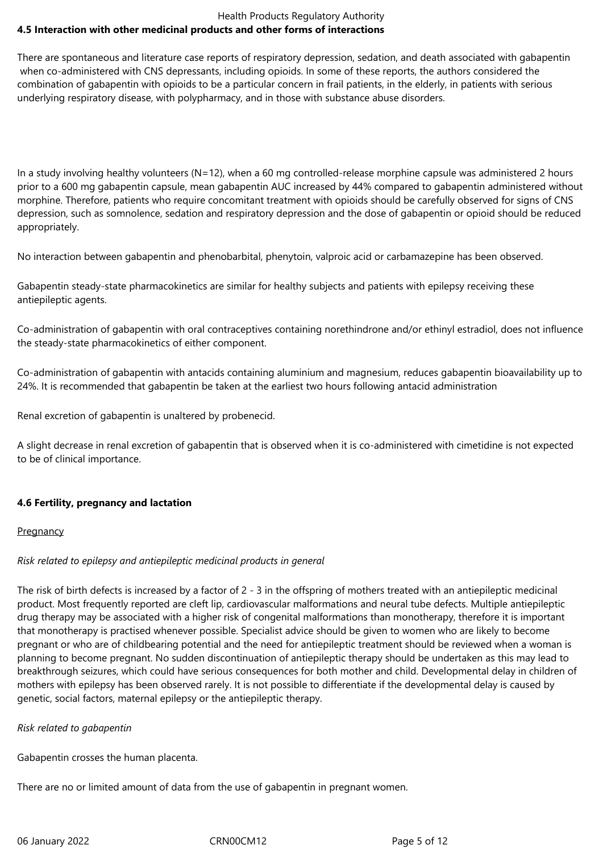## Health Products Regulatory Authority **4.5 Interaction with other medicinal products and other forms of interactions**

There are spontaneous and literature case reports of respiratory depression, sedation, and death associated with gabapentin when co-administered with CNS depressants, including opioids. In some of these reports, the authors considered the combination of gabapentin with opioids to be a particular concern in frail patients, in the elderly, in patients with serious underlying respiratory disease, with polypharmacy, and in those with substance abuse disorders.

In a study involving healthy volunteers (N=12), when a 60 mg controlled-release morphine capsule was administered 2 hours prior to a 600 mg gabapentin capsule, mean gabapentin AUC increased by 44% compared to gabapentin administered without morphine. Therefore, patients who require concomitant treatment with opioids should be carefully observed for signs of CNS depression, such as somnolence, sedation and respiratory depression and the dose of gabapentin or opioid should be reduced appropriately.

No interaction between gabapentin and phenobarbital, phenytoin, valproic acid or carbamazepine has been observed.

Gabapentin steady-state pharmacokinetics are similar for healthy subjects and patients with epilepsy receiving these antiepileptic agents.

Co-administration of gabapentin with oral contraceptives containing norethindrone and/or ethinyl estradiol, does not influence the steady-state pharmacokinetics of either component.

Co-administration of gabapentin with antacids containing aluminium and magnesium, reduces gabapentin bioavailability up to 24%. It is recommended that gabapentin be taken at the earliest two hours following antacid administration

Renal excretion of gabapentin is unaltered by probenecid.

A slight decrease in renal excretion of gabapentin that is observed when it is co-administered with cimetidine is not expected to be of clinical importance.

# **4.6 Fertility, pregnancy and lactation**

## **Pregnancy**

# *Risk related to epilepsy and antiepileptic medicinal products in general*

The risk of birth defects is increased by a factor of  $2 - 3$  in the offspring of mothers treated with an antiepileptic medicinal product. Most frequently reported are cleft lip, cardiovascular malformations and neural tube defects. Multiple antiepileptic drug therapy may be associated with a higher risk of congenital malformations than monotherapy, therefore it is important that monotherapy is practised whenever possible. Specialist advice should be given to women who are likely to become pregnant or who are of childbearing potential and the need for antiepileptic treatment should be reviewed when a woman is planning to become pregnant. No sudden discontinuation of antiepileptic therapy should be undertaken as this may lead to breakthrough seizures, which could have serious consequences for both mother and child. Developmental delay in children of mothers with epilepsy has been observed rarely. It is not possible to differentiate if the developmental delay is caused by genetic, social factors, maternal epilepsy or the antiepileptic therapy.

# *Risk related to gabapentin*

Gabapentin crosses the human placenta.

There are no or limited amount of data from the use of gabapentin in pregnant women.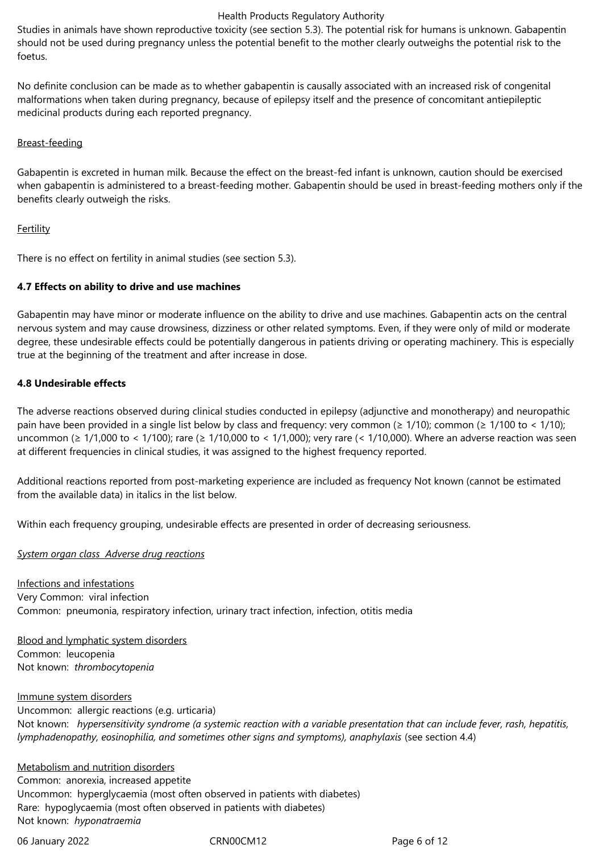Studies in animals have shown reproductive toxicity (see section 5.3). The potential risk for humans is unknown. Gabapentin should not be used during pregnancy unless the potential benefit to the mother clearly outweighs the potential risk to the foetus.

No definite conclusion can be made as to whether gabapentin is causally associated with an increased risk of congenital malformations when taken during pregnancy, because of epilepsy itself and the presence of concomitant antiepileptic medicinal products during each reported pregnancy.

## Breast-feeding

Gabapentin is excreted in human milk. Because the effect on the breast-fed infant is unknown, caution should be exercised when gabapentin is administered to a breast-feeding mother. Gabapentin should be used in breast-feeding mothers only if the benefits clearly outweigh the risks.

## **Fertility**

There is no effect on fertility in animal studies (see section 5.3).

## **4.7 Effects on ability to drive and use machines**

Gabapentin may have minor or moderate influence on the ability to drive and use machines. Gabapentin acts on the central nervous system and may cause drowsiness, dizziness or other related symptoms. Even, if they were only of mild or moderate degree, these undesirable effects could be potentially dangerous in patients driving or operating machinery. This is especially true at the beginning of the treatment and after increase in dose.

## **4.8 Undesirable effects**

The adverse reactions observed during clinical studies conducted in epilepsy (adjunctive and monotherapy) and neuropathic pain have been provided in a single list below by class and frequency: very common (≥ 1/10); common (≥ 1/100 to < 1/10); uncommon (≥ 1/1,000 to < 1/100); rare (≥ 1/10,000 to < 1/1,000); very rare (< 1/10,000). Where an adverse reaction was seen at different frequencies in clinical studies, it was assigned to the highest frequency reported.

Additional reactions reported from post-marketing experience are included as frequency Not known (cannot be estimated from the available data) in italics in the list below.

Within each frequency grouping, undesirable effects are presented in order of decreasing seriousness.

*System organ class Adverse drug reactions*

Infections and infestations Very Common: viral infection Common: pneumonia, respiratory infection, urinary tract infection, infection, otitis media

Blood and lymphatic system disorders Common: leucopenia Not known: *thrombocytopenia* 

Immune system disorders Uncommon: allergic reactions (e.g. urticaria) Not known: *hypersensitivity syndrome (a systemic reaction with a variable presentation that can include fever, rash, hepatitis, lymphadenopathy, eosinophilia, and sometimes other signs and symptoms), anaphylaxis (see section 4.4)* 

Metabolism and nutrition disorders Common: anorexia, increased appetite Uncommon: hyperglycaemia (most often observed in patients with diabetes) Rare: hypoglycaemia (most often observed in patients with diabetes) Not known: *hyponatraemia* 

06 January 2022 CRN00CM12 Page 6 of 12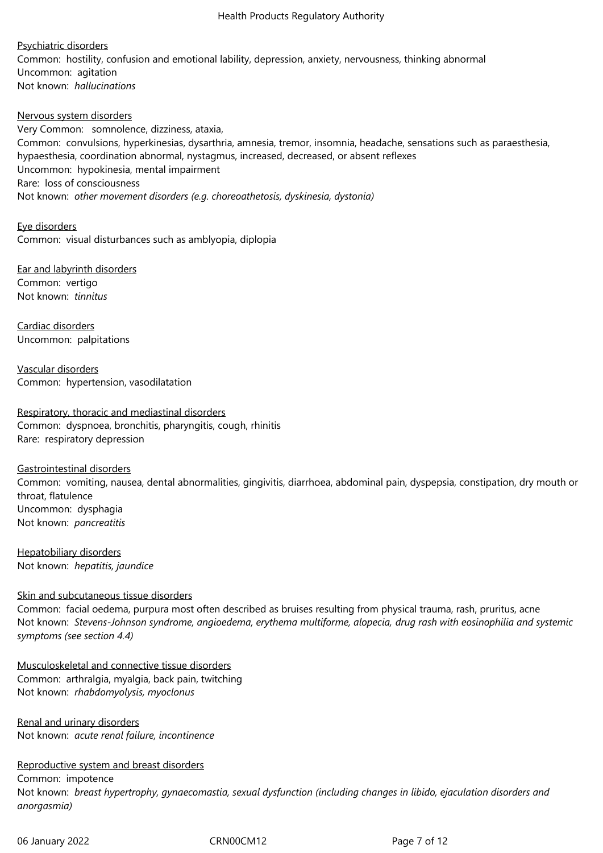Psychiatric disorders Common: hostility, confusion and emotional lability, depression, anxiety, nervousness, thinking abnormal Uncommon: agitation Not known: *hallucinations* 

Nervous system disorders Very Common: somnolence, dizziness, ataxia, Common: convulsions, hyperkinesias, dysarthria, amnesia, tremor, insomnia, headache, sensations such as paraesthesia, hypaesthesia, coordination abnormal, nystagmus, increased, decreased, or absent reflexes Uncommon: hypokinesia, mental impairment Rare: loss of consciousness Not known: *other movement disorders (e.g. choreoathetosis, dyskinesia, dystonia)* 

Eye disorders Common: visual disturbances such as amblyopia, diplopia

Ear and labyrinth disorders Common: vertigo Not known: *tinnitus* 

Cardiac disorders Uncommon: palpitations

Vascular disorders Common: hypertension, vasodilatation

Respiratory, thoracic and mediastinal disorders Common: dyspnoea, bronchitis, pharyngitis, cough, rhinitis Rare: respiratory depression

Gastrointestinal disorders Common: vomiting, nausea, dental abnormalities, gingivitis, diarrhoea, abdominal pain, dyspepsia, constipation, dry mouth or throat, flatulence Uncommon: dysphagia Not known: *pancreatitis* 

Hepatobiliary disorders Not known: *hepatitis, jaundice* 

## Skin and subcutaneous tissue disorders

Common: facial oedema, purpura most often described as bruises resulting from physical trauma, rash, pruritus, acne Not known: Stevens-Johnson syndrome, angioedema, erythema multiforme, alopecia, drug rash with eosinophilia and systemic *symptoms (see section 4.4)*

Musculoskeletal and connective tissue disorders Common: arthralgia, myalgia, back pain, twitching Not known: *rhabdomyolysis, myoclonus* 

Renal and urinary disorders Not known: *acute renal failure, incontinence* 

Reproductive system and breast disorders Common: impotence Not known: *breast hypertrophy, gynaecomastia, sexual dysfunction (including changes in libido, ejaculation disorders and anorgasmia)*

06 January 2022 CRN00CM12 Page 7 of 12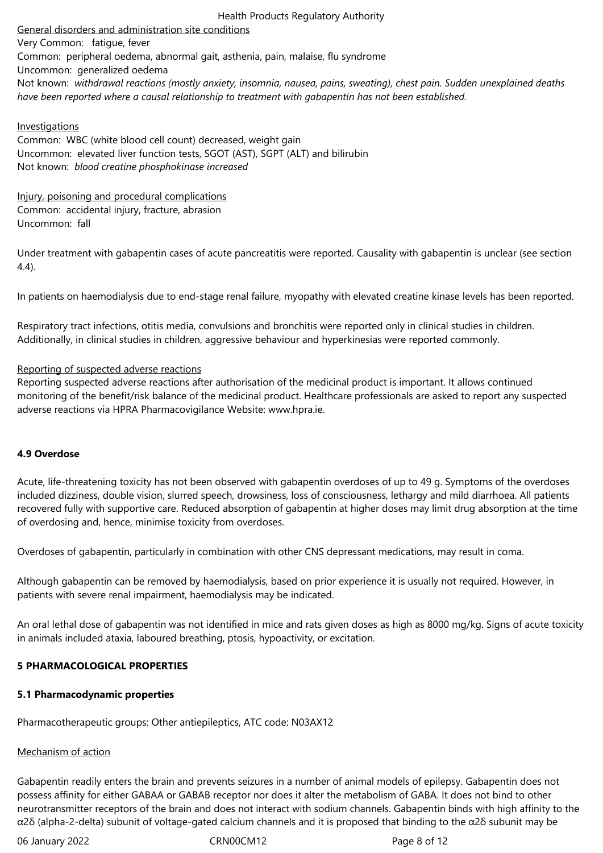General disorders and administration site conditions

Very Common: fatique, fever Common: peripheral oedema, abnormal gait, asthenia, pain, malaise, flu syndrome Uncommon: generalized oedema Not known: *withdrawal reactions (mostly anxiety, insomnia, nausea, pains, sweating), chest pain. Sudden unexplained deaths have been reported where a causal relationship to treatment with gabapentin has not been established.*

## **Investigations**

Common: WBC (white blood cell count) decreased, weight gain Uncommon: elevated liver function tests, SGOT (AST), SGPT (ALT) and bilirubin Not known: *blood creatine phosphokinase increased* 

Injury, poisoning and procedural complications Common: accidental injury, fracture, abrasion Uncommon: fall

Under treatment with gabapentin cases of acute pancreatitis were reported. Causality with gabapentin is unclear (see section 4.4).

In patients on haemodialysis due to end-stage renal failure, myopathy with elevated creatine kinase levels has been reported.

Respiratory tract infections, otitis media, convulsions and bronchitis were reported only in clinical studies in children. Additionally, in clinical studies in children, aggressive behaviour and hyperkinesias were reported commonly.

## Reporting of suspected adverse reactions

Reporting suspected adverse reactions after authorisation of the medicinal product is important. It allows continued monitoring of the benefit/risk balance of the medicinal product. Healthcare professionals are asked to report any suspected adverse reactions via HPRA Pharmacovigilance Website: www.hpra.ie.

# **4.9 Overdose**

Acute, life-threatening toxicity has not been observed with gabapentin overdoses of up to 49 g. Symptoms of the overdoses included dizziness, double vision, slurred speech, drowsiness, loss of consciousness, lethargy and mild diarrhoea. All patients recovered fully with supportive care. Reduced absorption of gabapentin at higher doses may limit drug absorption at the time of overdosing and, hence, minimise toxicity from overdoses.

Overdoses of gabapentin, particularly in combination with other CNS depressant medications, may result in coma.

Although gabapentin can be removed by haemodialysis, based on prior experience it is usually not required. However, in patients with severe renal impairment, haemodialysis may be indicated.

An oral lethal dose of gabapentin was not identified in mice and rats given doses as high as 8000 mg/kg. Signs of acute toxicity in animals included ataxia, laboured breathing, ptosis, hypoactivity, or excitation.

## **5 PHARMACOLOGICAL PROPERTIES**

## **5.1 Pharmacodynamic properties**

Pharmacotherapeutic groups: Other antiepileptics, ATC code: N03AX12

## Mechanism of action

Gabapentin readily enters the brain and prevents seizures in a number of animal models of epilepsy. Gabapentin does not possess affinity for either GABAA or GABAB receptor nor does it alter the metabolism of GABA. It does not bind to other neurotransmitter receptors of the brain and does not interact with sodium channels. Gabapentin binds with high affinity to the α2δ (alpha-2-delta) subunit of voltage-gated calcium channels and it is proposed that binding to the α2δ subunit may be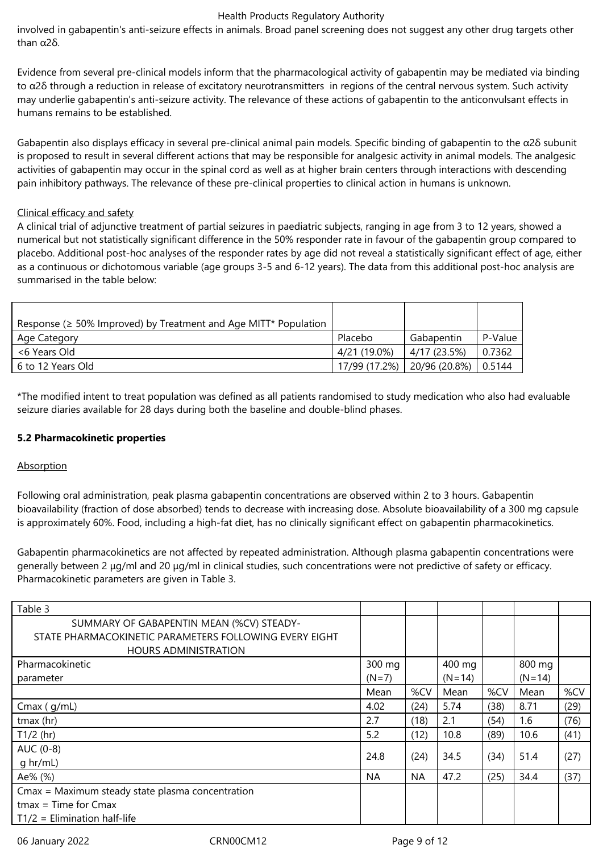involved in gabapentin's anti-seizure effects in animals. Broad panel screening does not suggest any other drug targets other than  $α2δ$ 

Evidence from several pre-clinical models inform that the pharmacological activity of gabapentin may be mediated via binding to  $\alpha$ 2δ through a reduction in release of excitatory neurotransmitters in regions of the central nervous system. Such activity may underlie gabapentin's anti-seizure activity. The relevance of these actions of gabapentin to the anticonvulsant effects in humans remains to be established.

Gabapentin also displays efficacy in several pre-clinical animal pain models. Specific binding of gabapentin to the α2δ subunit is proposed to result in several different actions that may be responsible for analgesic activity in animal models. The analgesic activities of gabapentin may occur in the spinal cord as well as at higher brain centers through interactions with descending pain inhibitory pathways. The relevance of these pre-clinical properties to clinical action in humans is unknown.

## Clinical efficacy and safety

A clinical trial of adjunctive treatment of partial seizures in paediatric subjects, ranging in age from 3 to 12 years, showed a numerical but not statistically significant difference in the 50% responder rate in favour of the gabapentin group compared to placebo. Additional post-hoc analyses of the responder rates by age did not reveal a statistically significant effect of age, either as a continuous or dichotomous variable (age groups 3-5 and 6-12 years). The data from this additional post-hoc analysis are summarised in the table below:

| Response ( $\geq$ 50% Improved) by Treatment and Age MITT* Population |                               |              |         |
|-----------------------------------------------------------------------|-------------------------------|--------------|---------|
| Age Category                                                          | Placebo                       | Gabapentin   | P-Value |
| <6 Years Old                                                          | 4/21 (19.0%)                  | 4/17 (23.5%) | 0.7362  |
| 6 to 12 Years Old                                                     | 17/99 (17.2%)   20/96 (20.8%) |              | 0.5144  |

\*The modified intent to treat population was defined as all patients randomised to study medication who also had evaluable seizure diaries available for 28 days during both the baseline and double-blind phases.

## **5.2 Pharmacokinetic properties**

## Absorption

Following oral administration, peak plasma gabapentin concentrations are observed within 2 to 3 hours. Gabapentin bioavailability (fraction of dose absorbed) tends to decrease with increasing dose. Absolute bioavailability of a 300 mg capsule is approximately 60%. Food, including a high-fat diet, has no clinically significant effect on gabapentin pharmacokinetics.

Gabapentin pharmacokinetics are not affected by repeated administration. Although plasma gabapentin concentrations were generally between 2 μg/ml and 20 μg/ml in clinical studies, such concentrations were not predictive of safety or efficacy. Pharmacokinetic parameters are given in Table 3.

| Table 3                                                |           |           |          |      |          |      |
|--------------------------------------------------------|-----------|-----------|----------|------|----------|------|
| SUMMARY OF GABAPENTIN MEAN (%CV) STEADY-               |           |           |          |      |          |      |
| STATE PHARMACOKINETIC PARAMETERS FOLLOWING EVERY EIGHT |           |           |          |      |          |      |
| <b>HOURS ADMINISTRATION</b>                            |           |           |          |      |          |      |
| Pharmacokinetic                                        | 300 mg    |           | 400 mg   |      | 800 mg   |      |
| parameter                                              | $(N=7)$   |           | $(N=14)$ |      | $(N=14)$ |      |
|                                                        | Mean      | %CV       | Mean     | %CV  | Mean     | %CV  |
| Cmax $(g/mL)$                                          | 4.02      | (24)      | 5.74     | (38) | 8.71     | (29) |
| tmax (hr)                                              | 2.7       | (18)      | 2.1      | (54) | 1.6      | (76) |
| $T1/2$ (hr)                                            | 5.2       | (12)      | 10.8     | (89) | 10.6     | (41) |
| AUC (0-8)                                              | 24.8      |           |          |      | 51.4     |      |
| g hr/mL)                                               |           | (24)      | 34.5     | (34) |          | (27) |
| Ae% (%)                                                | <b>NA</b> | <b>NA</b> | 47.2     | (25) | 34.4     | (37) |
| Cmax = Maximum steady state plasma concentration       |           |           |          |      |          |      |
| $t$ max = Time for Cmax                                |           |           |          |      |          |      |
| $T1/2$ = Elimination half-life                         |           |           |          |      |          |      |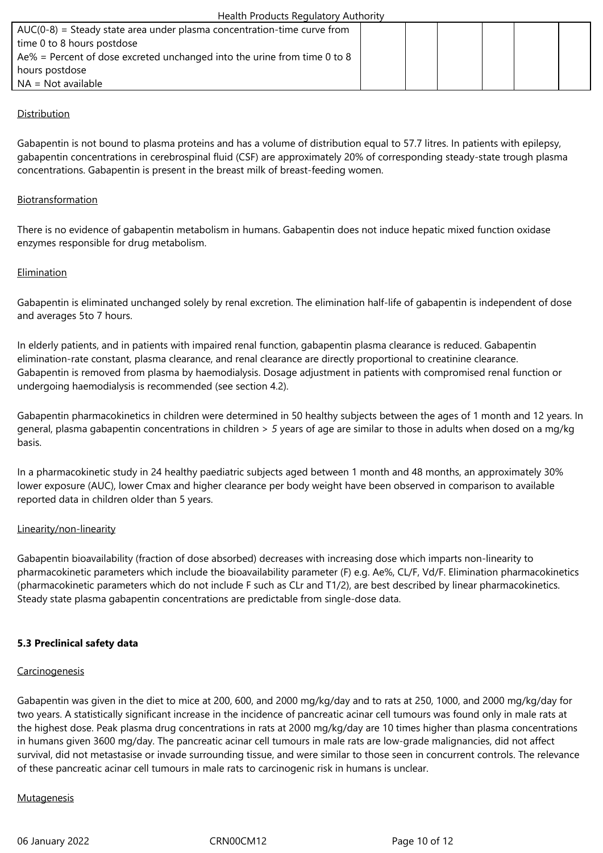| $AUC(0-8)$ = Steady state area under plasma concentration-time curve from |  |  |  |
|---------------------------------------------------------------------------|--|--|--|
| time 0 to 8 hours postdose                                                |  |  |  |
| Ae% = Percent of dose excreted unchanged into the urine from time 0 to 8  |  |  |  |
| hours postdose                                                            |  |  |  |
| $NA = Not available$                                                      |  |  |  |
|                                                                           |  |  |  |

# Distribution

Gabapentin is not bound to plasma proteins and has a volume of distribution equal to 57.7 litres. In patients with epilepsy, gabapentin concentrations in cerebrospinal fluid (CSF) are approximately 20% of corresponding steady-state trough plasma concentrations. Gabapentin is present in the breast milk of breast-feeding women.

## Biotransformation

There is no evidence of gabapentin metabolism in humans. Gabapentin does not induce hepatic mixed function oxidase enzymes responsible for drug metabolism.

## Elimination

Gabapentin is eliminated unchanged solely by renal excretion. The elimination half-life of gabapentin is independent of dose and averages 5to 7 hours.

In elderly patients, and in patients with impaired renal function, gabapentin plasma clearance is reduced. Gabapentin elimination-rate constant, plasma clearance, and renal clearance are directly proportional to creatinine clearance. Gabapentin is removed from plasma by haemodialysis. Dosage adjustment in patients with compromised renal function or undergoing haemodialysis is recommended (see section 4.2).

Gabapentin pharmacokinetics in children were determined in 50 healthy subjects between the ages of 1 month and 12 years. In general, plasma gabapentin concentrations in children > 5 years of age are similar to those in adults when dosed on a mg/kg basis.

In a pharmacokinetic study in 24 healthy paediatric subjects aged between 1 month and 48 months, an approximately 30% lower exposure (AUC), lower Cmax and higher clearance per body weight have been observed in comparison to available reported data in children older than 5 years.

## Linearity/non-linearity

Gabapentin bioavailability (fraction of dose absorbed) decreases with increasing dose which imparts non-linearity to pharmacokinetic parameters which include the bioavailability parameter (F) e.g. Ae%, CL/F, Vd/F. Elimination pharmacokinetics (pharmacokinetic parameters which do not include F such as CLr and T1/2), are best described by linear pharmacokinetics. Steady state plasma gabapentin concentrations are predictable from single-dose data.

## **5.3 Preclinical safety data**

## **Carcinogenesis**

Gabapentin was given in the diet to mice at 200, 600, and 2000 mg/kg/day and to rats at 250, 1000, and 2000 mg/kg/day for two years. A statistically significant increase in the incidence of pancreatic acinar cell tumours was found only in male rats at the highest dose. Peak plasma drug concentrations in rats at 2000 mg/kg/day are 10 times higher than plasma concentrations in humans given 3600 mg/day. The pancreatic acinar cell tumours in male rats are low-grade malignancies, did not affect survival, did not metastasise or invade surrounding tissue, and were similar to those seen in concurrent controls. The relevance of these pancreatic acinar cell tumours in male rats to carcinogenic risk in humans is unclear.

## **Mutagenesis**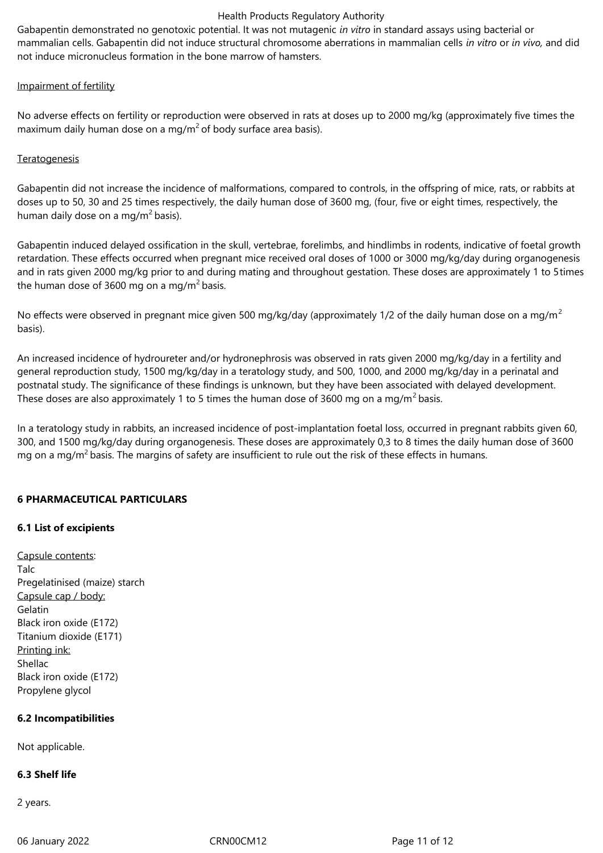Gabapentin demonstrated no genotoxic potential. It was not mutagenic *in vitro* in standard assays using bacterial or mammalian cells. Gabapentin did not induce structural chromosome aberrations in mammalian cells *in vitro or in vivo*, and did not induce micronucleus formation in the bone marrow of hamsters.

## Impairment of fertility

No adverse effects on fertility or reproduction were observed in rats at doses up to 2000 mg/kg (approximately five times the maximum daily human dose on a mg/m<sup>2</sup> of body surface area basis).

# **Teratogenesis**

Gabapentin did not increase the incidence of malformations, compared to controls, in the offspring of mice, rats, or rabbits at doses up to 50, 30 and 25 times respectively, the daily human dose of 3600 mg, (four, five or eight times, respectively, the human daily dose on a mg/m<sup>2</sup> basis).

Gabapentin induced delayed ossification in the skull, vertebrae, forelimbs, and hindlimbs in rodents, indicative of foetal growth retardation. These effects occurred when pregnant mice received oral doses of 1000 or 3000 mg/kg/day during organogenesis and in rats given 2000 mg/kg prior to and during mating and throughout gestation. These doses are approximately 1 to 5times the human dose of 3600 mg on a mg/m<sup>2</sup> basis.

No effects were observed in pregnant mice given 500 mg/kg/day (approximately 1/2 of the daily human dose on a mg/m<sup>2</sup> basis).

An increased incidence of hydroureter and/or hydronephrosis was observed in rats given 2000 mg/kg/day in a fertility and general reproduction study, 1500 mg/kg/day in a teratology study, and 500, 1000, and 2000 mg/kg/day in a perinatal and postnatal study. The significance of these findings is unknown, but they have been associated with delayed development. These doses are also approximately 1 to 5 times the human dose of 3600 mg on a mg/m<sup>2</sup> basis.

In a teratology study in rabbits, an increased incidence of post-implantation foetal loss, occurred in pregnant rabbits given 60, 300, and 1500 mg/kg/day during organogenesis. These doses are approximately 0,3 to 8 times the daily human dose of 3600 mg on a mg/m<sup>2</sup> basis. The margins of safety are insufficient to rule out the risk of these effects in humans.

# **6 PHARMACEUTICAL PARTICULARS**

# **6.1 List of excipients**

Capsule contents: Talc Pregelatinised (maize) starch Capsule cap / body: Gelatin Black iron oxide (E172) Titanium dioxide (E171) Printing ink: Shellac Black iron oxide (E172) Propylene glycol

# **6.2 Incompatibilities**

Not applicable.

## **6.3 Shelf life**

2years.